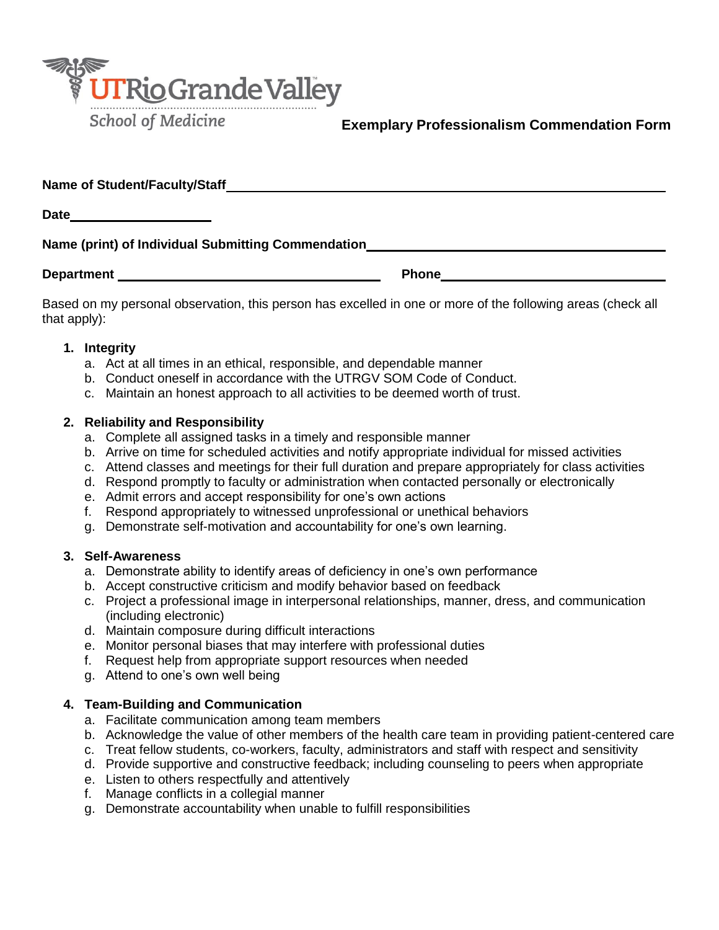

## **Exemplary Professionalism Commendation Form**

**Name of Student/Faculty/Staff**

**Date**

# **Name (print) of Individual Submitting Commendation**

**Department CONSUMPLE 2008 Phone Phone Phone Phone Phone Phone Phone Phone Phone Phone Phone Phone Phone Phone Phone Phone Phone Phone Phone Phone Phone Phone Phone Phone**

Based on my personal observation, this person has excelled in one or more of the following areas (check all that apply):

#### **1. Integrity**

- a. Act at all times in an ethical, responsible, and dependable manner
- b. Conduct oneself in accordance with the UTRGV SOM Code of Conduct.
- c. Maintain an honest approach to all activities to be deemed worth of trust.

#### **2. Reliability and Responsibility**

- a. Complete all assigned tasks in a timely and responsible manner
- b. Arrive on time for scheduled activities and notify appropriate individual for missed activities
- c. Attend classes and meetings for their full duration and prepare appropriately for class activities
- d. Respond promptly to faculty or administration when contacted personally or electronically
- e. Admit errors and accept responsibility for one's own actions
- f. Respond appropriately to witnessed unprofessional or unethical behaviors
- g. Demonstrate self-motivation and accountability for one's own learning.

### **3. Self-Awareness**

- a. Demonstrate ability to identify areas of deficiency in one's own performance
- b. Accept constructive criticism and modify behavior based on feedback
- c. Project a professional image in interpersonal relationships, manner, dress, and communication (including electronic)
- d. Maintain composure during difficult interactions
- e. Monitor personal biases that may interfere with professional duties
- f. Request help from appropriate support resources when needed
- g. Attend to one's own well being

#### **4. Team-Building and Communication**

- a. Facilitate communication among team members
- b. Acknowledge the value of other members of the health care team in providing patient-centered care
- c. Treat fellow students, co-workers, faculty, administrators and staff with respect and sensitivity
- d. Provide supportive and constructive feedback; including counseling to peers when appropriate
- e. Listen to others respectfully and attentively
- f. Manage conflicts in a collegial manner
- g. Demonstrate accountability when unable to fulfill responsibilities